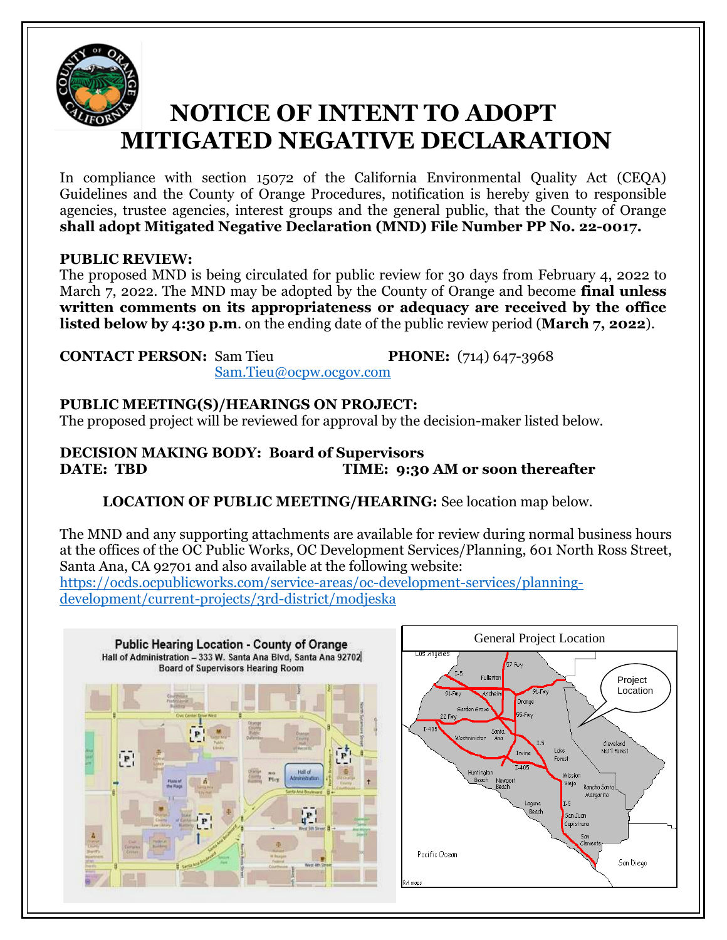

## **NOTICE OF INTENT TO ADOPT MITIGATED NEGATIVE DECLARATION**

In compliance with section 15072 of the California Environmental Quality Act (CEQA) Guidelines and the County of Orange Procedures, notification is hereby given to responsible agencies, trustee agencies, interest groups and the general public, that the County of Orange **shall adopt Mitigated Negative Declaration (MND) File Number PP No. 22-0017.**

## **PUBLIC REVIEW:**

The proposed MND is being circulated for public review for 30 days from February 4, 2022 to March 7, 2022. The MND may be adopted by the County of Orange and become **final unless written comments on its appropriateness or adequacy are received by the office listed below by 4:30 p.m**. on the ending date of the public review period (**March 7, 2022**).

**CONTACT PERSON:** Sam Tieu **PHONE:** (714) 647-3968 [Sam.Tieu@ocpw.ocgov.com](mailto:Sam.Tieu@ocpw.ocgov.com)

**PUBLIC MEETING(S)/HEARINGS ON PROJECT:**

The proposed project will be reviewed for approval by the decision-maker listed below.

**DECISION MAKING BODY: Board of Supervisors DATE: TBD TIME: 9:30 AM or soon thereafter** 

**LOCATION OF PUBLIC MEETING/HEARING:** See location map below.

The MND and any supporting attachments are available for review during normal business hours at the offices of the OC Public Works, OC Development Services/Planning, 601 North Ross Street, Santa Ana, CA 92701 and also available at the following website: [https://ocds.ocpublicworks.com/service-areas/oc-development-services/planning-](https://ocds.ocpublicworks.com/service-areas/oc-development-services/planning-development/current-projects/3rd-district/modjeska)

[development/current-projects/3rd-district/modjeska](https://ocds.ocpublicworks.com/service-areas/oc-development-services/planning-development/current-projects/3rd-district/modjeska)